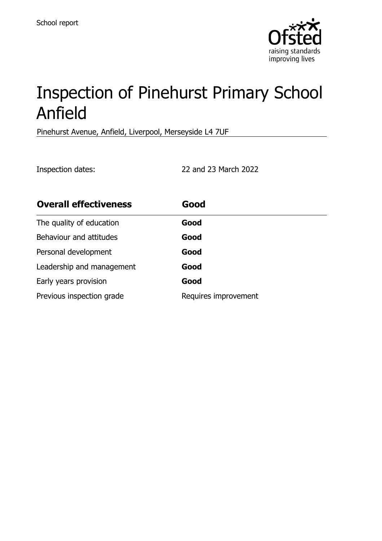

# Inspection of Pinehurst Primary School Anfield

Pinehurst Avenue, Anfield, Liverpool, Merseyside L4 7UF

Inspection dates: 22 and 23 March 2022

| <b>Overall effectiveness</b> | Good                 |
|------------------------------|----------------------|
| The quality of education     | Good                 |
| Behaviour and attitudes      | Good                 |
| Personal development         | Good                 |
| Leadership and management    | Good                 |
| Early years provision        | Good                 |
| Previous inspection grade    | Requires improvement |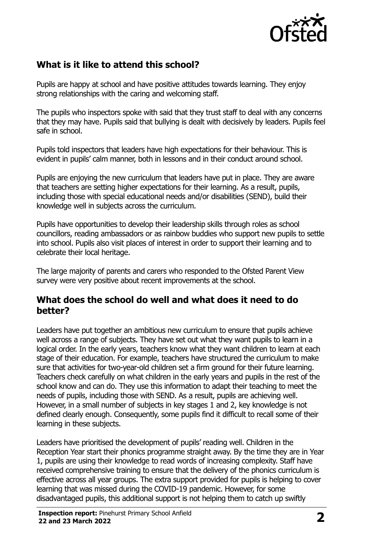

## **What is it like to attend this school?**

Pupils are happy at school and have positive attitudes towards learning. They enjoy strong relationships with the caring and welcoming staff.

The pupils who inspectors spoke with said that they trust staff to deal with any concerns that they may have. Pupils said that bullying is dealt with decisively by leaders. Pupils feel safe in school.

Pupils told inspectors that leaders have high expectations for their behaviour. This is evident in pupils' calm manner, both in lessons and in their conduct around school.

Pupils are enjoying the new curriculum that leaders have put in place. They are aware that teachers are setting higher expectations for their learning. As a result, pupils, including those with special educational needs and/or disabilities (SEND), build their knowledge well in subjects across the curriculum.

Pupils have opportunities to develop their leadership skills through roles as school councillors, reading ambassadors or as rainbow buddies who support new pupils to settle into school. Pupils also visit places of interest in order to support their learning and to celebrate their local heritage.

The large majority of parents and carers who responded to the Ofsted Parent View survey were very positive about recent improvements at the school.

#### **What does the school do well and what does it need to do better?**

Leaders have put together an ambitious new curriculum to ensure that pupils achieve well across a range of subjects. They have set out what they want pupils to learn in a logical order. In the early years, teachers know what they want children to learn at each stage of their education. For example, teachers have structured the curriculum to make sure that activities for two-year-old children set a firm ground for their future learning. Teachers check carefully on what children in the early years and pupils in the rest of the school know and can do. They use this information to adapt their teaching to meet the needs of pupils, including those with SEND. As a result, pupils are achieving well. However, in a small number of subjects in key stages 1 and 2, key knowledge is not defined clearly enough. Consequently, some pupils find it difficult to recall some of their learning in these subjects.

Leaders have prioritised the development of pupils' reading well. Children in the Reception Year start their phonics programme straight away. By the time they are in Year 1, pupils are using their knowledge to read words of increasing complexity. Staff have received comprehensive training to ensure that the delivery of the phonics curriculum is effective across all year groups. The extra support provided for pupils is helping to cover learning that was missed during the COVID-19 pandemic. However, for some disadvantaged pupils, this additional support is not helping them to catch up swiftly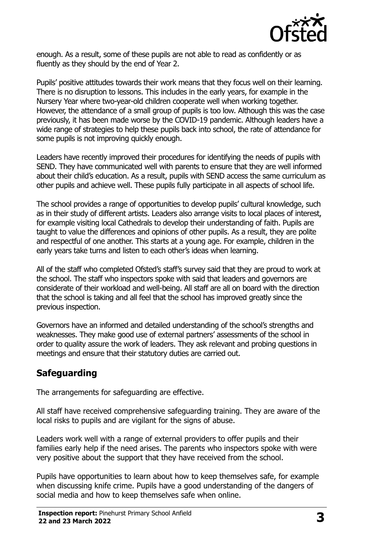

enough. As a result, some of these pupils are not able to read as confidently or as fluently as they should by the end of Year 2.

Pupils' positive attitudes towards their work means that they focus well on their learning. There is no disruption to lessons. This includes in the early years, for example in the Nursery Year where two-year-old children cooperate well when working together. However, the attendance of a small group of pupils is too low. Although this was the case previously, it has been made worse by the COVID-19 pandemic. Although leaders have a wide range of strategies to help these pupils back into school, the rate of attendance for some pupils is not improving quickly enough.

Leaders have recently improved their procedures for identifying the needs of pupils with SEND. They have communicated well with parents to ensure that they are well informed about their child's education. As a result, pupils with SEND access the same curriculum as other pupils and achieve well. These pupils fully participate in all aspects of school life.

The school provides a range of opportunities to develop pupils' cultural knowledge, such as in their study of different artists. Leaders also arrange visits to local places of interest, for example visiting local Cathedrals to develop their understanding of faith. Pupils are taught to value the differences and opinions of other pupils. As a result, they are polite and respectful of one another. This starts at a young age. For example, children in the early years take turns and listen to each other's ideas when learning.

All of the staff who completed Ofsted's staff's survey said that they are proud to work at the school. The staff who inspectors spoke with said that leaders and governors are considerate of their workload and well-being. All staff are all on board with the direction that the school is taking and all feel that the school has improved greatly since the previous inspection.

Governors have an informed and detailed understanding of the school's strengths and weaknesses. They make good use of external partners' assessments of the school in order to quality assure the work of leaders. They ask relevant and probing questions in meetings and ensure that their statutory duties are carried out.

## **Safeguarding**

The arrangements for safeguarding are effective.

All staff have received comprehensive safeguarding training. They are aware of the local risks to pupils and are vigilant for the signs of abuse.

Leaders work well with a range of external providers to offer pupils and their families early help if the need arises. The parents who inspectors spoke with were very positive about the support that they have received from the school.

Pupils have opportunities to learn about how to keep themselves safe, for example when discussing knife crime. Pupils have a good understanding of the dangers of social media and how to keep themselves safe when online.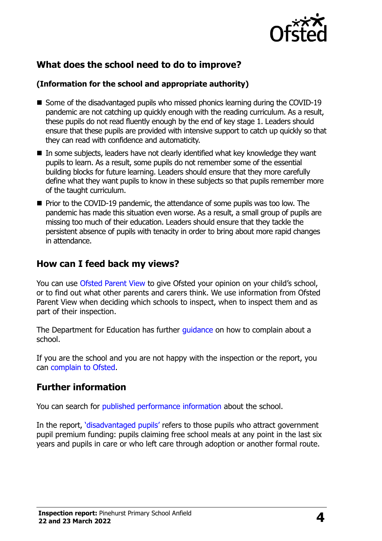

## **What does the school need to do to improve?**

#### **(Information for the school and appropriate authority)**

- Some of the disadvantaged pupils who missed phonics learning during the COVID-19 pandemic are not catching up quickly enough with the reading curriculum. As a result, these pupils do not read fluently enough by the end of key stage 1. Leaders should ensure that these pupils are provided with intensive support to catch up quickly so that they can read with confidence and automaticity.
- $\blacksquare$  In some subjects, leaders have not clearly identified what key knowledge they want pupils to learn. As a result, some pupils do not remember some of the essential building blocks for future learning. Leaders should ensure that they more carefully define what they want pupils to know in these subjects so that pupils remember more of the taught curriculum.
- Prior to the COVID-19 pandemic, the attendance of some pupils was too low. The pandemic has made this situation even worse. As a result, a small group of pupils are missing too much of their education. Leaders should ensure that they tackle the persistent absence of pupils with tenacity in order to bring about more rapid changes in attendance.

## **How can I feed back my views?**

You can use [Ofsted Parent View](http://parentview.ofsted.gov.uk/) to give Ofsted your opinion on your child's school, or to find out what other parents and carers think. We use information from Ofsted Parent View when deciding which schools to inspect, when to inspect them and as part of their inspection.

The Department for Education has further quidance on how to complain about a school.

If you are the school and you are not happy with the inspection or the report, you can [complain to Ofsted.](http://www.gov.uk/complain-ofsted-report)

## **Further information**

You can search for [published performance information](http://www.compare-school-performance.service.gov.uk/) about the school.

In the report, '[disadvantaged pupils](http://www.gov.uk/guidance/pupil-premium-information-for-schools-and-alternative-provision-settings)' refers to those pupils who attract government pupil premium funding: pupils claiming free school meals at any point in the last six years and pupils in care or who left care through adoption or another formal route.

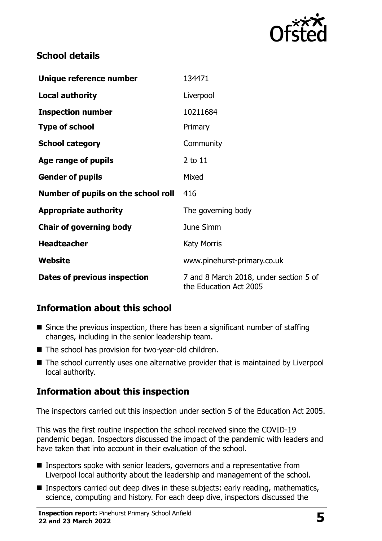

## **School details**

| Unique reference number             | 134471                                                           |
|-------------------------------------|------------------------------------------------------------------|
| <b>Local authority</b>              | Liverpool                                                        |
| <b>Inspection number</b>            | 10211684                                                         |
| <b>Type of school</b>               | Primary                                                          |
| <b>School category</b>              | Community                                                        |
| Age range of pupils                 | $2$ to $11$                                                      |
| <b>Gender of pupils</b>             | Mixed                                                            |
| Number of pupils on the school roll | 416                                                              |
| <b>Appropriate authority</b>        | The governing body                                               |
| <b>Chair of governing body</b>      | June Simm                                                        |
| <b>Headteacher</b>                  | <b>Katy Morris</b>                                               |
| Website                             | www.pinehurst-primary.co.uk                                      |
| <b>Dates of previous inspection</b> | 7 and 8 March 2018, under section 5 of<br>the Education Act 2005 |

## **Information about this school**

- $\blacksquare$  Since the previous inspection, there has been a significant number of staffing changes, including in the senior leadership team.
- The school has provision for two-year-old children.
- The school currently uses one alternative provider that is maintained by Liverpool local authority.

# **Information about this inspection**

The inspectors carried out this inspection under section 5 of the Education Act 2005.

This was the first routine inspection the school received since the COVID-19 pandemic began. Inspectors discussed the impact of the pandemic with leaders and have taken that into account in their evaluation of the school.

- Inspectors spoke with senior leaders, governors and a representative from Liverpool local authority about the leadership and management of the school.
- Inspectors carried out deep dives in these subjects: early reading, mathematics, science, computing and history. For each deep dive, inspectors discussed the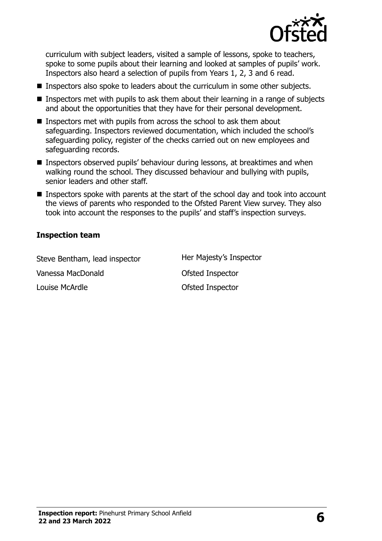

curriculum with subject leaders, visited a sample of lessons, spoke to teachers, spoke to some pupils about their learning and looked at samples of pupils' work. Inspectors also heard a selection of pupils from Years 1, 2, 3 and 6 read.

- Inspectors also spoke to leaders about the curriculum in some other subjects.
- **Inspectors met with pupils to ask them about their learning in a range of subjects** and about the opportunities that they have for their personal development.
- $\blacksquare$  Inspectors met with pupils from across the school to ask them about safeguarding. Inspectors reviewed documentation, which included the school's safeguarding policy, register of the checks carried out on new employees and safeguarding records.
- Inspectors observed pupils' behaviour during lessons, at breaktimes and when walking round the school. They discussed behaviour and bullying with pupils, senior leaders and other staff.
- Inspectors spoke with parents at the start of the school day and took into account the views of parents who responded to the Ofsted Parent View survey. They also took into account the responses to the pupils' and staff's inspection surveys.

#### **Inspection team**

Steve Bentham, lead inspector Her Majesty's Inspector Vanessa MacDonald **Canadian Constant Constant Constant** Ofsted Inspector Louise McArdle **Contract Contract Contract Contract Contract Contract Contract Contract Contract Contract Contract Contract Contract Contract Contract Contract Contract Contract Contract Contract Contract Contract Contract**